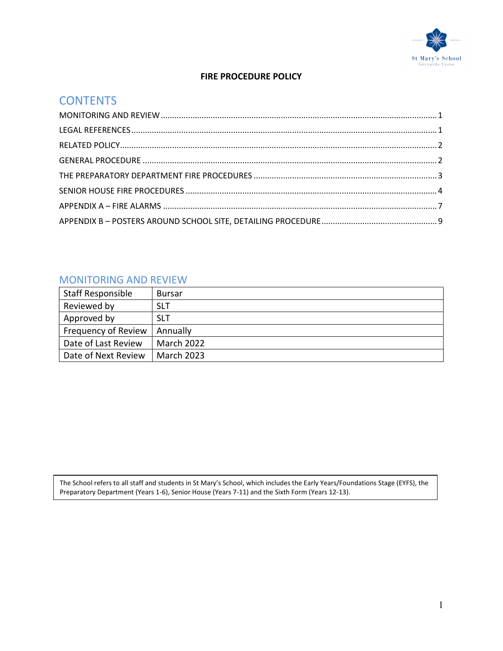

## FIRE PROCEDURE POLICY

# **CONTENTS**

# MONITORING AND REVIEW

| <b>Staff Responsible</b> | <b>Bursar</b>     |
|--------------------------|-------------------|
| Reviewed by              | <b>SLT</b>        |
| Approved by              | <b>SLT</b>        |
| Frequency of Review      | Annually          |
| Date of Last Review      | <b>March 2022</b> |
| Date of Next Review      | <b>March 2023</b> |

The School refers to all staff and students in St Mary's School, which includes the Early Years/Foundations Stage (EYFS), the Preparatory Department (Years 1-6), Senior House (Years 7-11) and the Sixth Form (Years 12-13).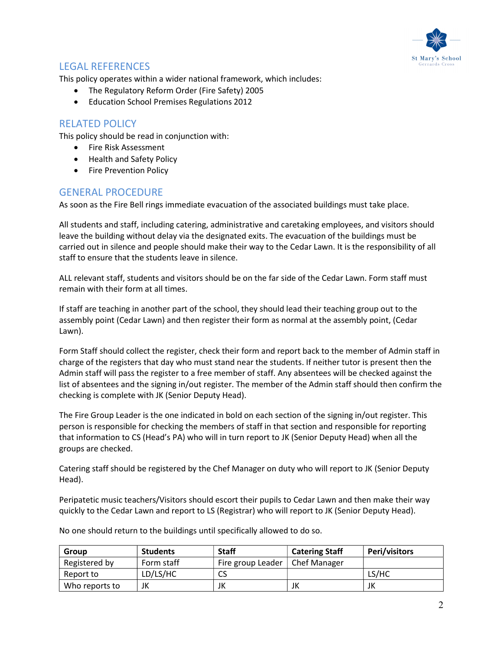

# LEGAL REFERENCES

This policy operates within a wider national framework, which includes:

- The Regulatory Reform Order (Fire Safety) 2005
- Education School Premises Regulations 2012

## RELATED POLICY

This policy should be read in conjunction with:

- Fire Risk Assessment
- Health and Safety Policy
- Fire Prevention Policy

## GENERAL PROCEDURE

As soon as the Fire Bell rings immediate evacuation of the associated buildings must take place.

All students and staff, including catering, administrative and caretaking employees, and visitors should leave the building without delay via the designated exits. The evacuation of the buildings must be carried out in silence and people should make their way to the Cedar Lawn. It is the responsibility of all staff to ensure that the students leave in silence.

ALL relevant staff, students and visitors should be on the far side of the Cedar Lawn. Form staff must remain with their form at all times.

If staff are teaching in another part of the school, they should lead their teaching group out to the assembly point (Cedar Lawn) and then register their form as normal at the assembly point, (Cedar Lawn).

Form Staff should collect the register, check their form and report back to the member of Admin staff in charge of the registers that day who must stand near the students. If neither tutor is present then the Admin staff will pass the register to a free member of staff. Any absentees will be checked against the list of absentees and the signing in/out register. The member of the Admin staff should then confirm the checking is complete with JK (Senior Deputy Head).

The Fire Group Leader is the one indicated in bold on each section of the signing in/out register. This person is responsible for checking the members of staff in that section and responsible for reporting that information to CS (Head's PA) who will in turn report to JK (Senior Deputy Head) when all the groups are checked.

Catering staff should be registered by the Chef Manager on duty who will report to JK (Senior Deputy Head).

Peripatetic music teachers/Visitors should escort their pupils to Cedar Lawn and then make their way quickly to the Cedar Lawn and report to LS (Registrar) who will report to JK (Senior Deputy Head).

Group Students Staff Catering Staff Peri/visitors Registered by  $\vert$  Form staff  $\vert$  Fire group Leader  $\vert$  Chef Manager Report to  $|LD/LS/HC|CS|$  CS  $|US/HC|$ Who reports to  $\begin{array}{ccc} \vert \text{JK} \end{array}$  JK  $\begin{array}{ccc} \vert \text{JK} \end{array}$  JK

No one should return to the buildings until specifically allowed to do so.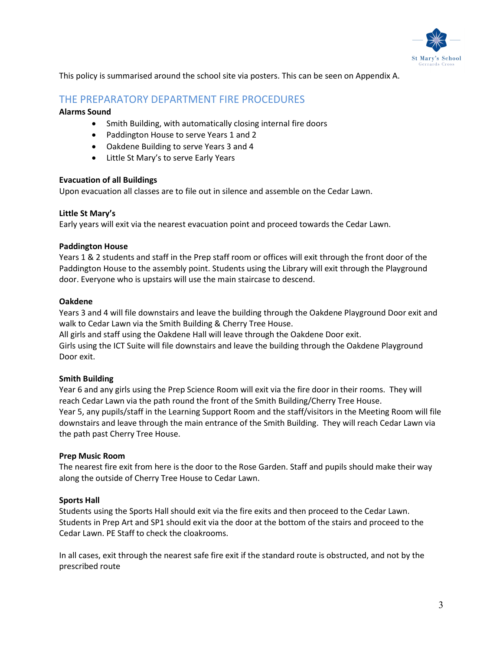

This policy is summarised around the school site via posters. This can be seen on Appendix A.

## THE PREPARATORY DEPARTMENT FIRE PROCEDURES

#### Alarms Sound

- Smith Building, with automatically closing internal fire doors
- Paddington House to serve Years 1 and 2
- Oakdene Building to serve Years 3 and 4
- Little St Mary's to serve Early Years

#### Evacuation of all Buildings

Upon evacuation all classes are to file out in silence and assemble on the Cedar Lawn.

#### Little St Mary's

Early years will exit via the nearest evacuation point and proceed towards the Cedar Lawn.

#### Paddington House

Years 1 & 2 students and staff in the Prep staff room or offices will exit through the front door of the Paddington House to the assembly point. Students using the Library will exit through the Playground door. Everyone who is upstairs will use the main staircase to descend.

#### Oakdene

Years 3 and 4 will file downstairs and leave the building through the Oakdene Playground Door exit and walk to Cedar Lawn via the Smith Building & Cherry Tree House.

All girls and staff using the Oakdene Hall will leave through the Oakdene Door exit. Girls using the ICT Suite will file downstairs and leave the building through the Oakdene Playground

Door exit.

#### Smith Building

Year 6 and any girls using the Prep Science Room will exit via the fire door in their rooms. They will reach Cedar Lawn via the path round the front of the Smith Building/Cherry Tree House. Year 5, any pupils/staff in the Learning Support Room and the staff/visitors in the Meeting Room will file downstairs and leave through the main entrance of the Smith Building. They will reach Cedar Lawn via the path past Cherry Tree House.

#### Prep Music Room

The nearest fire exit from here is the door to the Rose Garden. Staff and pupils should make their way along the outside of Cherry Tree House to Cedar Lawn.

#### Sports Hall

Students using the Sports Hall should exit via the fire exits and then proceed to the Cedar Lawn. Students in Prep Art and SP1 should exit via the door at the bottom of the stairs and proceed to the Cedar Lawn. PE Staff to check the cloakrooms.

In all cases, exit through the nearest safe fire exit if the standard route is obstructed, and not by the prescribed route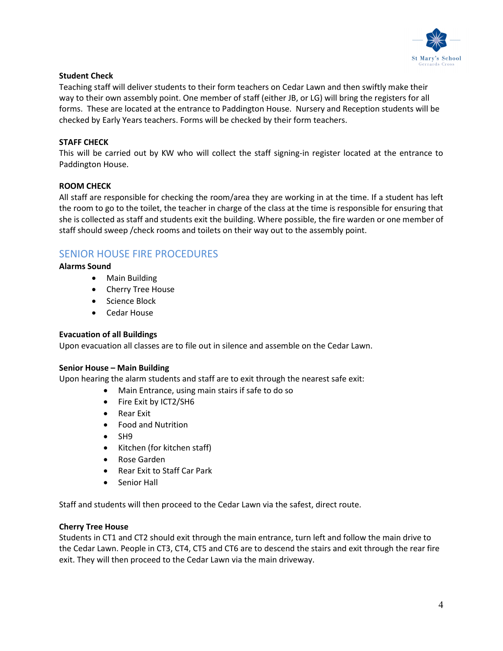

#### Student Check

Teaching staff will deliver students to their form teachers on Cedar Lawn and then swiftly make their way to their own assembly point. One member of staff (either JB, or LG) will bring the registers for all forms. These are located at the entrance to Paddington House. Nursery and Reception students will be checked by Early Years teachers. Forms will be checked by their form teachers.

#### STAFF CHECK

This will be carried out by KW who will collect the staff signing-in register located at the entrance to Paddington House.

#### ROOM CHECK

All staff are responsible for checking the room/area they are working in at the time. If a student has left the room to go to the toilet, the teacher in charge of the class at the time is responsible for ensuring that she is collected as staff and students exit the building. Where possible, the fire warden or one member of staff should sweep /check rooms and toilets on their way out to the assembly point.

## SENIOR HOUSE FIRE PROCEDURES

#### Alarms Sound

- Main Building
- Cherry Tree House
- Science Block
- Cedar House

#### Evacuation of all Buildings

Upon evacuation all classes are to file out in silence and assemble on the Cedar Lawn.

#### Senior House – Main Building

Upon hearing the alarm students and staff are to exit through the nearest safe exit:

- Main Entrance, using main stairs if safe to do so
- Fire Exit by ICT2/SH6
- Rear Exit
- Food and Nutrition
- $\bullet$  SH9
- Kitchen (for kitchen staff)
- Rose Garden
- Rear Exit to Staff Car Park
- Senior Hall

Staff and students will then proceed to the Cedar Lawn via the safest, direct route.

#### Cherry Tree House

Students in CT1 and CT2 should exit through the main entrance, turn left and follow the main drive to the Cedar Lawn. People in CT3, CT4, CT5 and CT6 are to descend the stairs and exit through the rear fire exit. They will then proceed to the Cedar Lawn via the main driveway.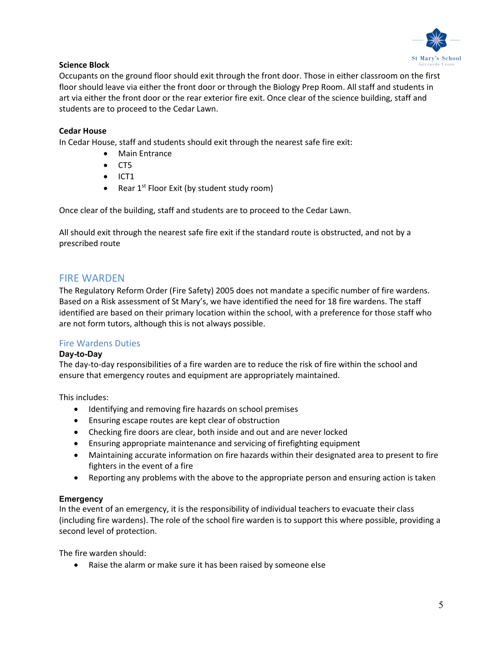

#### Science Block

Occupants on the ground floor should exit through the front door. Those in either classroom on the first floor should leave via either the front door or through the Biology Prep Room. All staff and students in art via either the front door or the rear exterior fire exit. Once clear of the science building, staff and students are to proceed to the Cedar Lawn.

#### Cedar House

In Cedar House, staff and students should exit through the nearest safe fire exit:

- Main Entrance
- $\bullet$  CT5
- $\bullet$  ICT1
- Rear  $1^{st}$  Floor Exit (by student study room)

Once clear of the building, staff and students are to proceed to the Cedar Lawn.

All should exit through the nearest safe fire exit if the standard route is obstructed, and not by a prescribed route

## FIRE WARDEN

The Regulatory Reform Order (Fire Safety) 2005 does not mandate a specific number of fire wardens. Based on a Risk assessment of St Mary's, we have identified the need for 18 fire wardens. The staff identified are based on their primary location within the school, with a preference for those staff who are not form tutors, although this is not always possible.

### Fire Wardens Duties

#### Day-to-Day

The day-to-day responsibilities of a fire warden are to reduce the risk of fire within the school and ensure that emergency routes and equipment are appropriately maintained.

This includes:

- Identifying and removing fire hazards on school premises
- Ensuring escape routes are kept clear of obstruction
- Checking fire doors are clear, both inside and out and are never locked
- Ensuring appropriate maintenance and servicing of firefighting equipment
- Maintaining accurate information on fire hazards within their designated area to present to fire fighters in the event of a fire
- Reporting any problems with the above to the appropriate person and ensuring action is taken

#### **Emergency**

In the event of an emergency, it is the responsibility of individual teachers to evacuate their class (including fire wardens). The role of the school fire warden is to support this where possible, providing a second level of protection.

The fire warden should:

Raise the alarm or make sure it has been raised by someone else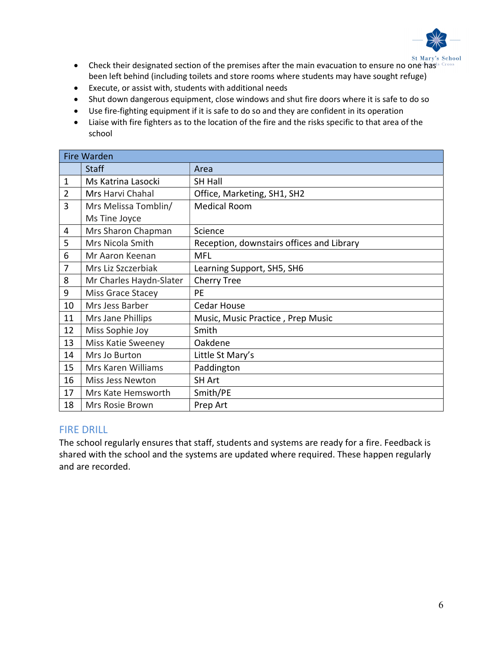

- **Check their designated section of the premises after the main evacuation to ensure no one has** School **•** Check their designated section of the premises after the main evacuation to ensure no one has Cross been left behind (including toilets and store rooms where students may have sought refuge)
- Execute, or assist with, students with additional needs
- Shut down dangerous equipment, close windows and shut fire doors where it is safe to do so
- Use fire-fighting equipment if it is safe to do so and they are confident in its operation
- Liaise with fire fighters as to the location of the fire and the risks specific to that area of the school

| <b>Fire Warden</b> |                         |                                           |  |
|--------------------|-------------------------|-------------------------------------------|--|
|                    | <b>Staff</b>            | Area                                      |  |
| $\mathbf{1}$       | Ms Katrina Lasocki      | <b>SH Hall</b>                            |  |
| $\overline{2}$     | Mrs Harvi Chahal        | Office, Marketing, SH1, SH2               |  |
| 3                  | Mrs Melissa Tomblin/    | <b>Medical Room</b>                       |  |
|                    | Ms Tine Joyce           |                                           |  |
| 4                  | Mrs Sharon Chapman      | Science                                   |  |
| 5                  | Mrs Nicola Smith        | Reception, downstairs offices and Library |  |
| 6                  | Mr Aaron Keenan         | <b>MFL</b>                                |  |
| 7                  | Mrs Liz Szczerbiak      | Learning Support, SH5, SH6                |  |
| 8                  | Mr Charles Haydn-Slater | <b>Cherry Tree</b>                        |  |
| 9                  | Miss Grace Stacey       | <b>PE</b>                                 |  |
| 10                 | Mrs Jess Barber         | <b>Cedar House</b>                        |  |
| 11                 | Mrs Jane Phillips       | Music, Music Practice, Prep Music         |  |
| 12                 | Miss Sophie Joy         | Smith                                     |  |
| 13                 | Miss Katie Sweeney      | Oakdene                                   |  |
| 14                 | Mrs Jo Burton           | Little St Mary's                          |  |
| 15                 | Mrs Karen Williams      | Paddington                                |  |
| 16                 | Miss Jess Newton        | <b>SH Art</b>                             |  |
| 17                 | Mrs Kate Hemsworth      | Smith/PE                                  |  |
| 18                 | Mrs Rosie Brown         | Prep Art                                  |  |

### FIRE DRILL

The school regularly ensures that staff, students and systems are ready for a fire. Feedback is shared with the school and the systems are updated where required. These happen regularly and are recorded.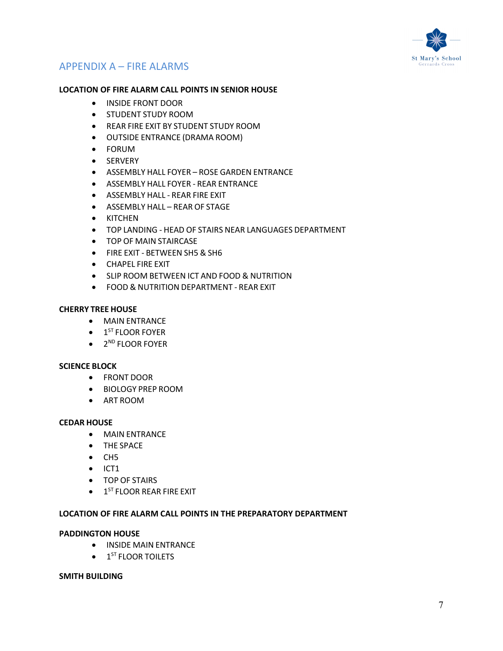

# APPENDIX A – FIRE ALARMS

#### LOCATION OF FIRE ALARM CALL POINTS IN SENIOR HOUSE

- **INSIDE FRONT DOOR**
- **STUDENT STUDY ROOM**
- REAR FIRE EXIT BY STUDENT STUDY ROOM
- OUTSIDE ENTRANCE (DRAMA ROOM)
- FORUM
- **•** SERVERY
- ASSEMBLY HALL FOYER ROSE GARDEN ENTRANCE
- ASSEMBLY HALL FOYER REAR ENTRANCE
- **ASSEMBLY HALL REAR FIRE EXIT**
- ASSEMBLY HALL REAR OF STAGE
- KITCHEN
- TOP LANDING HEAD OF STAIRS NEAR LANGUAGES DEPARTMENT
- **TOP OF MAIN STAIRCASE**
- FIRE EXIT BETWEEN SH5 & SH6
- CHAPEL FIRE EXIT
- **SLIP ROOM BETWEEN ICT AND FOOD & NUTRITION**
- FOOD & NUTRITION DEPARTMENT REAR EXIT

#### CHERRY TREE HOUSE

- MAIN ENTRANCE
- $\bullet$  1<sup>ST</sup> FLOOR FOYER
- 2<sup>ND</sup> FLOOR FOYER

#### SCIENCE BLOCK

- **•** FRONT DOOR
- BIOLOGY PREP ROOM
- ART ROOM

#### CEDAR HOUSE

- MAIN ENTRANCE
- THE SPACE
- CH5
- $\bullet$  ICT1
- **•** TOP OF STAIRS
- $\bullet$  1<sup>ST</sup> FLOOR REAR FIRE EXIT

#### LOCATION OF FIRE ALARM CALL POINTS IN THE PREPARATORY DEPARTMENT

#### PADDINGTON HOUSE

- **INSIDE MAIN ENTRANCE**
- 1<sup>ST</sup> FLOOR TOILETS

#### SMITH BUILDING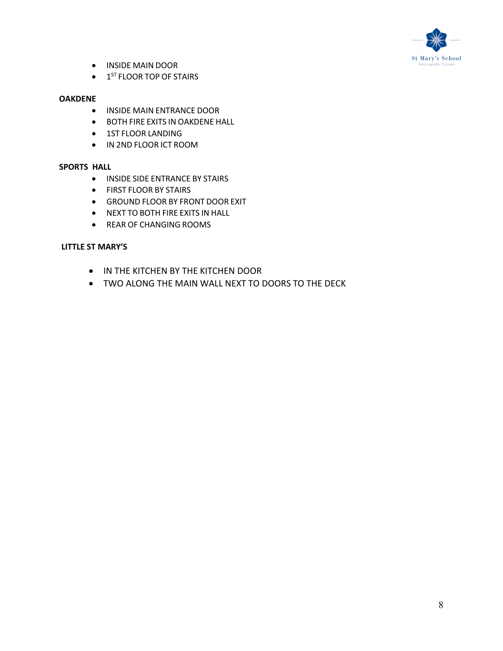

- INSIDE MAIN DOOR
- $\bullet$  1<sup>ST</sup> FLOOR TOP OF STAIRS

#### OAKDENE

- **INSIDE MAIN ENTRANCE DOOR**
- BOTH FIRE EXITS IN OAKDENE HALL
- **1ST FLOOR LANDING**
- IN 2ND FLOOR ICT ROOM

#### SPORTS HALL

- **INSIDE SIDE ENTRANCE BY STAIRS**
- **•** FIRST FLOOR BY STAIRS
- GROUND FLOOR BY FRONT DOOR EXIT
- NEXT TO BOTH FIRE EXITS IN HALL
- REAR OF CHANGING ROOMS

#### LITTLE ST MARY'S

- IN THE KITCHEN BY THE KITCHEN DOOR
- TWO ALONG THE MAIN WALL NEXT TO DOORS TO THE DECK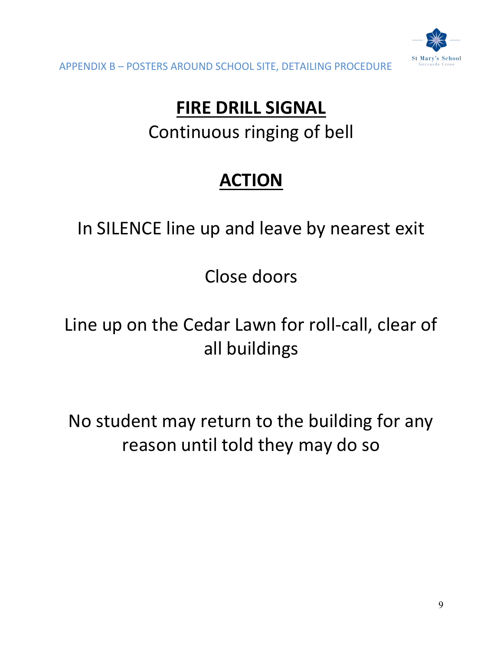

APPENDIX B – POSTERS AROUND SCHOOL SITE, DETAILING PROCEDURE

# FIRE DRILL SIGNAL Continuous ringing of bell

# ACTION

# In SILENCE line up and leave by nearest exit

Close doors

Line up on the Cedar Lawn for roll-call, clear of all buildings

No student may return to the building for any reason until told they may do so